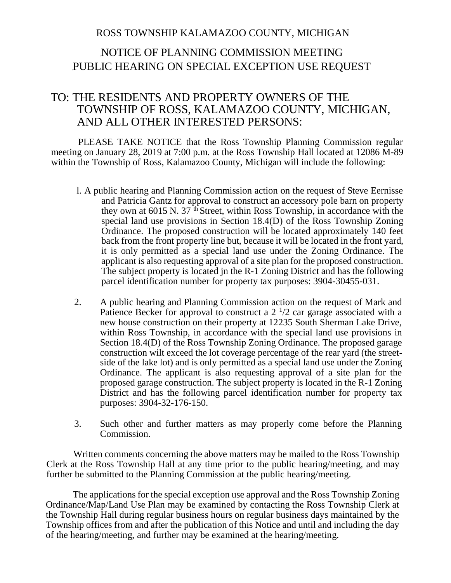## ROSS TOWNSHIP KALAMAZOO COUNTY, MICHIGAN

## NOTICE OF PLANNING COMMISSION MEETING PUBLIC HEARING ON SPECIAL EXCEPTION USE REQUEST

## TO: THE RESIDENTS AND PROPERTY OWNERS OF THE TOWNSHIP OF ROSS, KALAMAZOO COUNTY, MICHIGAN, AND ALL OTHER INTERESTED PERSONS:

PLEASE TAKE NOTICE that the Ross Township Planning Commission regular meeting on January 28, 2019 at 7:00 p.m. at the Ross Township Hall located at 12086 M-89 within the Township of Ross, Kalamazoo County, Michigan will include the following:

- l. A public hearing and Planning Commission action on the request of Steve Eernisse and Patricia Gantz for approval to construct an accessory pole barn on property they own at  $6015$  N.  $37<sup>th</sup>$  Street, within Ross Township, in accordance with the special land use provisions in Section 18.4(D) of the Ross Township Zoning Ordinance. The proposed construction will be located approximately 140 feet back from the front property line but, because it will be located in the front yard, it is only permitted as a special land use under the Zoning Ordinance. The applicant is also requesting approval of a site plan for the proposed construction. The subject property is located jn the R-1 Zoning District and has the following parcel identification number for property tax purposes: 3904-30455-031.
- 2. A public hearing and Planning Commission action on the request of Mark and Patience Becker for approval to construct a  $2<sup>1</sup>/2$  car garage associated with a new house construction on their property at 12235 South Sherman Lake Drive, within Ross Township, in accordance with the special land use provisions in Section 18.4(D) of the Ross Township Zoning Ordinance. The proposed garage construction wilt exceed the lot coverage percentage of the rear yard (the streetside of the lake lot) and is only permitted as a special land use under the Zoning Ordinance. The applicant is also requesting approval of a site plan for the proposed garage construction. The subject property is located in the R-1 Zoning District and has the following parcel identification number for property tax purposes: 3904-32-176-150.
- 3. Such other and further matters as may properly come before the Planning Commission.

Written comments concerning the above matters may be mailed to the Ross Township Clerk at the Ross Township Hall at any time prior to the public hearing/meeting, and may further be submitted to the Planning Commission at the public hearing/meeting.

The applications for the special exception use approval and the Ross Township Zoning Ordinance/Map/Land Use Plan may be examined by contacting the Ross Township Clerk at the Township Hall during regular business hours on regular business days maintained by the Township offices from and after the publication of this Notice and until and including the day of the hearing/meeting, and further may be examined at the hearing/meeting.